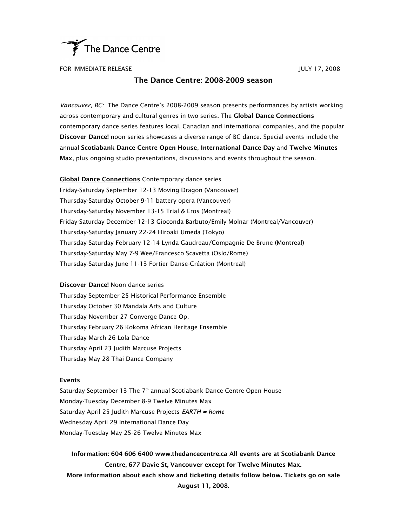

FOR IMMEDIATE RELEASE JULY 17, 2008

# The Dance Centre: 2008-2009 season

*Vancouver, BC:* The Dance Centre's 2008-2009 season presents performances by artists working across contemporary and cultural genres in two series. The Global Dance Connections contemporary dance series features local, Canadian and international companies, and the popular Discover Dance! noon series showcases a diverse range of BC dance. Special events include the annual Scotiabank Dance Centre Open House, International Dance Day and Twelve Minutes Max, plus ongoing studio presentations, discussions and events throughout the season.

**Global Dance Connections** Contemporary dance series Friday-Saturday September 12-13 Moving Dragon (Vancouver) Thursday-Saturday October 9-11 battery opera (Vancouver) Thursday-Saturday November 13-15 Trial & Eros (Montreal) Friday-Saturday December 12-13 Gioconda Barbuto/Emily Molnar (Montreal/Vancouver) Thursday-Saturday January 22-24 Hiroaki Umeda (Tokyo) Thursday-Saturday February 12-14 Lynda Gaudreau/Compagnie De Brune (Montreal) Thursday-Saturday May 7-9 Wee/Francesco Scavetta (Oslo/Rome) Thursday-Saturday June 11-13 Fortier Danse-Création (Montreal)

**Discover Dance!** Noon dance series Thursday September 25 Historical Performance Ensemble Thursday October 30 Mandala Arts and Culture Thursday November 27 Converge Dance Op. Thursday February 26 Kokoma African Heritage Ensemble Thursday March 26 Lola Dance Thursday April 23 Judith Marcuse Projects Thursday May 28 Thai Dance Company

# **Events**

Saturday September 13 The 7<sup>th</sup> annual Scotiabank Dance Centre Open House Monday-Tuesday December 8-9 Twelve Minutes Max Saturday April 25 Judith Marcuse Projects *EARTH = home* Wednesday April 29 International Dance Day Monday-Tuesday May 25-26 Twelve Minutes Max

Information: 604 606 6400 www.thedancecentre.ca All events are at Scotiabank Dance Centre, 677 Davie St, Vancouver except for Twelve Minutes Max. More information about each show and ticketing details follow below. Tickets go on sale August 11, 2008.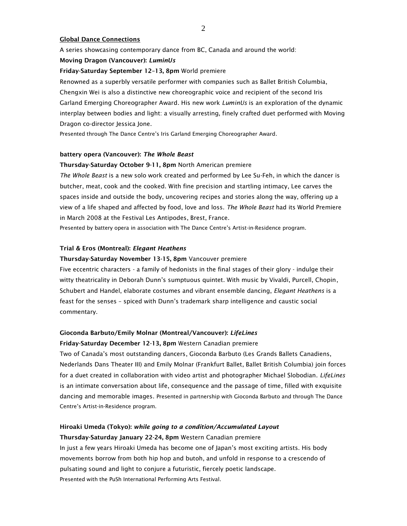# Global Dance Connections

A series showcasing contemporary dance from BC, Canada and around the world:

# Moving Dragon (Vancouver): *LuminUs*

# Friday-Saturday September 12–13, 8pm World premiere

Renowned as a superbly versatile performer with companies such as Ballet British Columbia,

Chengxin Wei is also a distinctive new choreographic voice and recipient of the second Iris Garland Emerging Choreographer Award. His new work *LuminUs* is an exploration of the dynamic interplay between bodies and light: a visually arresting, finely crafted duet performed with Moving Dragon co-director Jessica Jone.

Presented through The Dance Centre's Iris Garland Emerging Choreographer Award.

# battery opera (Vancouver): *The Whole Beast*

# Thursday-Saturday October 9-11, 8pm North American premiere

*The Whole Beast* is a new solo work created and performed by Lee Su-Feh, in which the dancer is butcher, meat, cook and the cooked. With fine precision and startling intimacy, Lee carves the spaces inside and outside the body, uncovering recipes and stories along the way, offering up a view of a life shaped and affected by food, love and loss. *The Whole Beast* had its World Premiere in March 2008 at the Festival Les Antipodes, Brest, France.

Presented by battery opera in association with The Dance Centre's Artist-in-Residence program.

# Trial & Eros (Montreal): *Elegant Heathens*

# Thursday-Saturday November 13-15, 8pm Vancouver premiere

Five eccentric characters - a family of hedonists in the final stages of their glory - indulge their witty theatricality in Deborah Dunn's sumptuous quintet. With music by Vivaldi, Purcell, Chopin, Schubert and Handel, elaborate costumes and vibrant ensemble dancing, *Elegant Heathens* is a feast for the senses – spiced with Dunn's trademark sharp intelligence and caustic social commentary.

# Gioconda Barbuto/Emily Molnar (Montreal/Vancouver): *LifeLines*

# Friday-Saturday December 12-13, 8pm Western Canadian premiere

Two of Canada's most outstanding dancers, Gioconda Barbuto (Les Grands Ballets Canadiens, Nederlands Dans Theater III) and Emily Molnar (Frankfurt Ballet, Ballet British Columbia) join forces for a duet created in collaboration with video artist and photographer Michael Slobodian. *LifeLines* is an intimate conversation about life, consequence and the passage of time, filled with exquisite dancing and memorable images. Presented in partnership with Gioconda Barbuto and through The Dance Centre's Artist-in-Residence program.

# Hiroaki Umeda (Tokyo): *while going to a condition/Accumulated Layout*

# Thursday-Saturday January 22-24, 8pm Western Canadian premiere

In just a few years Hiroaki Umeda has become one of Japan's most exciting artists. His body movements borrow from both hip hop and butoh, and unfold in response to a crescendo of pulsating sound and light to conjure a futuristic, fiercely poetic landscape. Presented with the PuSh International Performing Arts Festival.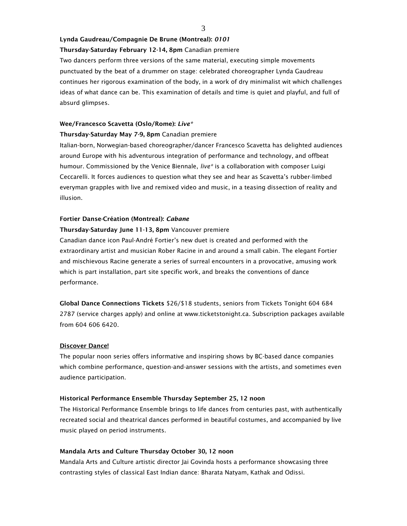#### 3

### Lynda Gaudreau/Compagnie De Brune (Montreal): *0101*

# Thursday-Saturday February 12-14, 8pm Canadian premiere

Two dancers perform three versions of the same material, executing simple movements punctuated by the beat of a drummer on stage: celebrated choreographer Lynda Gaudreau continues her rigorous examination of the body, in a work of dry minimalist wit which challenges ideas of what dance can be. This examination of details and time is quiet and playful, and full of absurd glimpses.

## Wee/Francesco Scavetta (Oslo/Rome): *Live\**

#### Thursday-Saturday May 7-9, 8pm Canadian premiere

Italian-born, Norwegian-based choreographer/dancer Francesco Scavetta has delighted audiences around Europe with his adventurous integration of performance and technology, and offbeat humour. Commissioned by the Venice Biennale, *live\** is a collaboration with composer Luigi Ceccarelli. It forces audiences to question what they see and hear as Scavetta's rubber-limbed everyman grapples with live and remixed video and music, in a teasing dissection of reality and illusion.

### Fortier Danse-Création (Montreal): *Cabane*

## Thursday-Saturday June 11-13, 8pm Vancouver premiere

Canadian dance icon Paul-André Fortier's new duet is created and performed with the extraordinary artist and musician Rober Racine in and around a small cabin. The elegant Fortier and mischievous Racine generate a series of surreal encounters in a provocative, amusing work which is part installation, part site specific work, and breaks the conventions of dance performance.

Global Dance Connections Tickets \$26/\$18 students, seniors from Tickets Tonight 604 684 2787 (service charges apply) and online at www.ticketstonight.ca. Subscription packages available from 604 606 6420.

#### Discover Dance!

The popular noon series offers informative and inspiring shows by BC-based dance companies which combine performance, question-and-answer sessions with the artists, and sometimes even audience participation.

#### Historical Performance Ensemble Thursday September 25, 12 noon

The Historical Performance Ensemble brings to life dances from centuries past, with authentically recreated social and theatrical dances performed in beautiful costumes, and accompanied by live music played on period instruments.

## Mandala Arts and Culture Thursday October 30, 12 noon

Mandala Arts and Culture artistic director Jai Govinda hosts a performance showcasing three contrasting styles of classical East Indian dance: Bharata Natyam, Kathak and Odissi.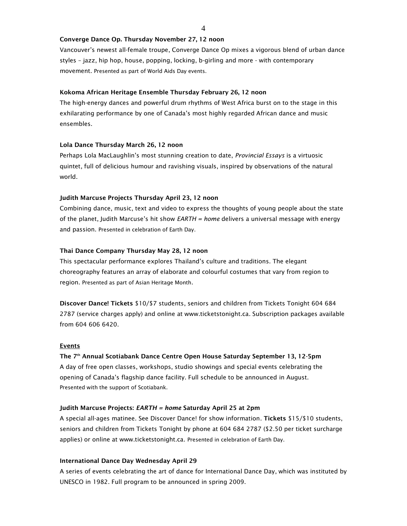4

# Converge Dance Op. Thursday November 27, 12 noon

Vancouver's newest all-female troupe, Converge Dance Op mixes a vigorous blend of urban dance styles – jazz, hip hop, house, popping, locking, b-girling and more - with contemporary movement. Presented as part of World Aids Day events.

### Kokoma African Heritage Ensemble Thursday February 26, 12 noon

The high-energy dances and powerful drum rhythms of West Africa burst on to the stage in this exhilarating performance by one of Canada's most highly regarded African dance and music ensembles.

# Lola Dance Thursday March 26, 12 noon

Perhaps Lola MacLaughlin's most stunning creation to date, *Provincial Essays* is a virtuosic quintet, full of delicious humour and ravishing visuals, inspired by observations of the natural world.

## Judith Marcuse Projects Thursday April 23, 12 noon

Combining dance, music, text and video to express the thoughts of young people about the state of the planet, Judith Marcuse's hit show *EARTH = home* delivers a universal message with energy and passion. Presented in celebration of Earth Day.

## Thai Dance Company Thursday May 28, 12 noon

This spectacular performance explores Thailand's culture and traditions. The elegant choreography features an array of elaborate and colourful costumes that vary from region to region. Presented as part of Asian Heritage Month.

Discover Dance! Tickets \$10/\$7 students, seniors and children from Tickets Tonight 604 684 2787 (service charges apply) and online at www.ticketstonight.ca. Subscription packages available from 604 606 6420.

#### Events

# The 7th Annual Scotiabank Dance Centre Open House Saturday September 13, 12-5pm

A day of free open classes, workshops, studio showings and special events celebrating the opening of Canada's flagship dance facility. Full schedule to be announced in August. Presented with the support of Scotiabank.

#### Judith Marcuse Projects: *EARTH = home* Saturday April 25 at 2pm

A special all-ages matinee. See Discover Dance! for show information. Tickets \$15/\$10 students, seniors and children from Tickets Tonight by phone at 604 684 2787 (\$2.50 per ticket surcharge applies) or online at www.ticketstonight.ca. Presented in celebration of Earth Day.

## International Dance Day Wednesday April 29

A series of events celebrating the art of dance for International Dance Day, which was instituted by UNESCO in 1982. Full program to be announced in spring 2009.